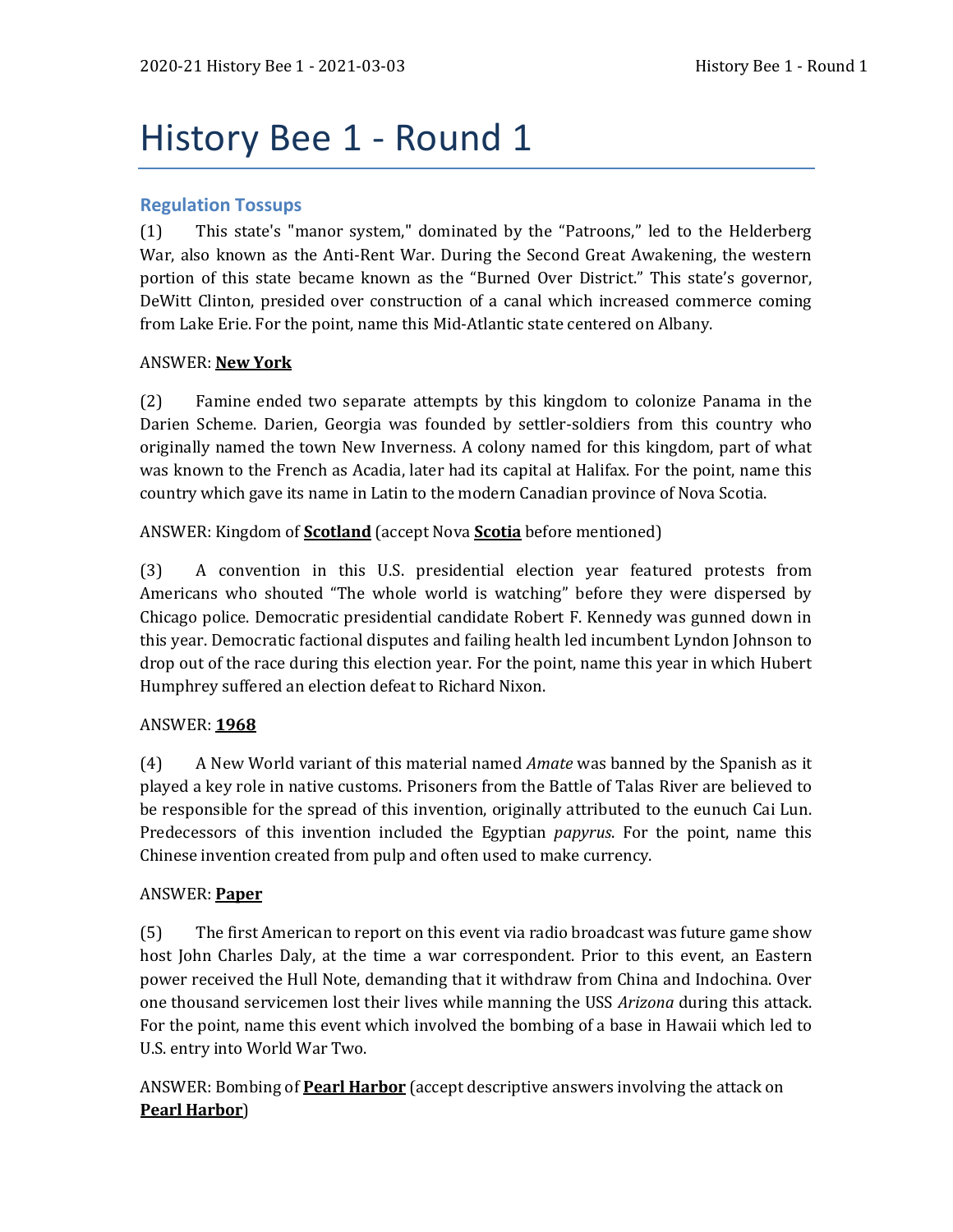# History Bee 1 - Round 1

# **Regulation Tossups**

(1) This state's "manor system," dominated by the "Patroons," led to the Helderberg War, also known as the Anti-Rent War. During the Second Great Awakening, the western portion of this state became known as the "Burned Over District." This state's governor, DeWitt Clinton, presided over construction of a canal which increased commerce coming from Lake Erie. For the point, name this Mid-Atlantic state centered on Albany.

## ANSWER: **New York**

(2) Famine ended two separate attempts by this kingdom to colonize Panama in the Darien Scheme. Darien, Georgia was founded by settler-soldiers from this country who originally named the town New Inverness. A colony named for this kingdom, part of what was known to the French as Acadia, later had its capital at Halifax. For the point, name this country which gave its name in Latin to the modern Canadian province of Nova Scotia.

## ANSWER: Kingdom of **Scotland** (accept Nova **Scotia** before mentioned)

(3) A convention in this U.S. presidential election year featured protests from Americans who shouted "The whole world is watching" before they were dispersed by Chicago police. Democratic presidential candidate Robert F. Kennedy was gunned down in this year. Democratic factional disputes and failing health led incumbent Lyndon Johnson to drop out of the race during this election year. For the point, name this year in which Hubert Humphrey suffered an election defeat to Richard Nixon.

## ANSWER: **1968**

(4) A New World variant of this material named *Amate* was banned by the Spanish as it played a key role in native customs. Prisoners from the Battle of Talas River are believed to be responsible for the spread of this invention, originally attributed to the eunuch Cai Lun. Predecessors of this invention included the Egyptian *papyrus*. For the point, name this Chinese invention created from pulp and often used to make currency.

## ANSWER: **Paper**

(5) The first American to report on this event via radio broadcast was future game show host John Charles Daly, at the time a war correspondent. Prior to this event, an Eastern power received the Hull Note, demanding that it withdraw from China and Indochina. Over one thousand servicemen lost their lives while manning the USS *Arizona* during this attack. For the point, name this event which involved the bombing of a base in Hawaii which led to U.S. entry into World War Two.

ANSWER: Bombing of **Pearl Harbor** (accept descriptive answers involving the attack on **Pearl Harbor**)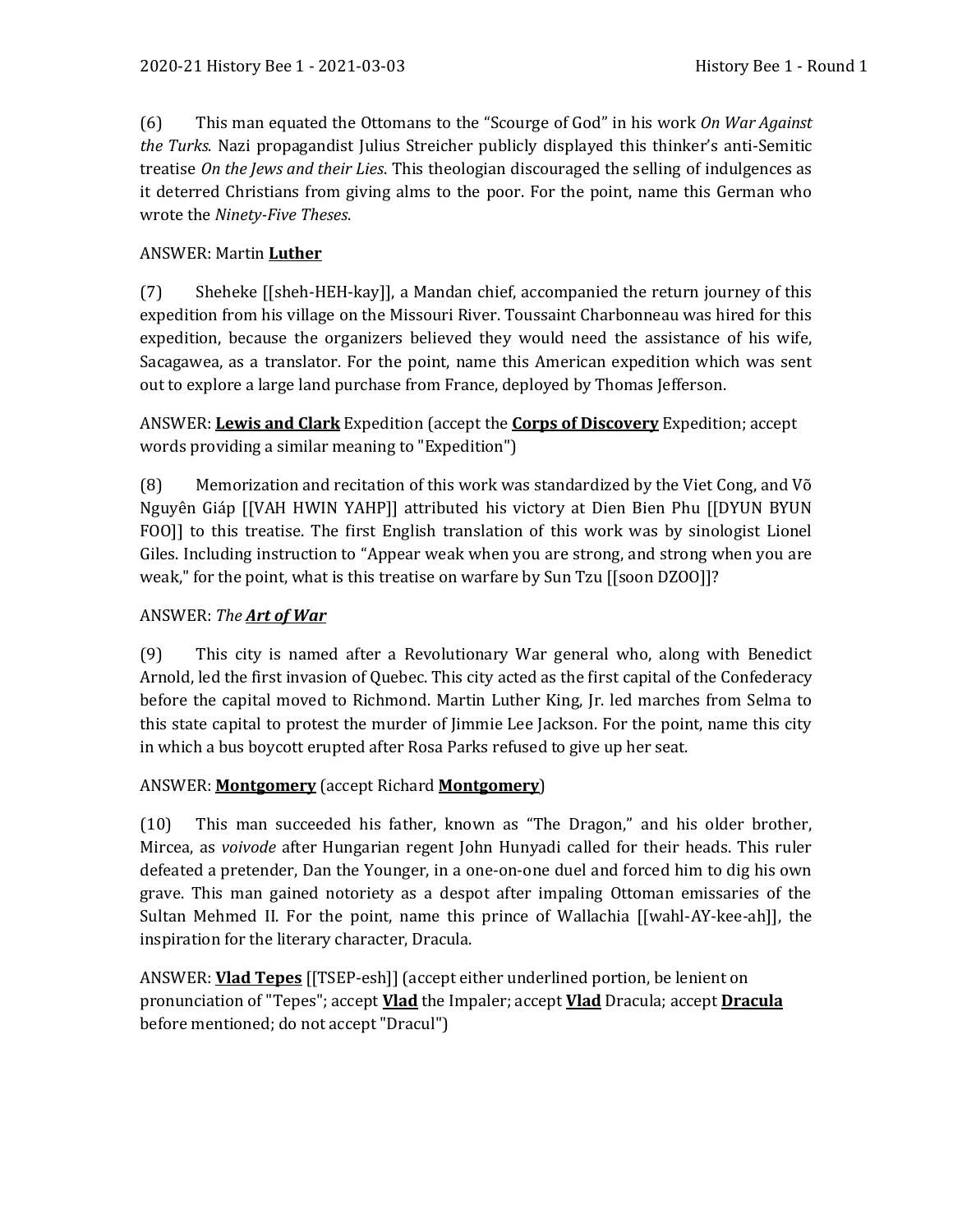(6) This man equated the Ottomans to the "Scourge of God" in his work *On War Against the Turks*. Nazi propagandist Julius Streicher publicly displayed this thinker's anti-Semitic treatise *On the Jews and their Lies*. This theologian discouraged the selling of indulgences as it deterred Christians from giving alms to the poor. For the point, name this German who wrote the *Ninety-Five Theses*.

# ANSWER: Martin **Luther**

(7) Sheheke [[sheh-HEH-kay]], a Mandan chief, accompanied the return journey of this expedition from his village on the Missouri River. Toussaint Charbonneau was hired for this expedition, because the organizers believed they would need the assistance of his wife, Sacagawea, as a translator. For the point, name this American expedition which was sent out to explore a large land purchase from France, deployed by Thomas Jefferson.

ANSWER: **Lewis and Clark** Expedition (accept the **Corps of Discovery** Expedition; accept words providing a similar meaning to "Expedition")

(8) Memorization and recitation of this work was standardized by the Viet Cong, and Võ Nguyên Giáp [[VAH HWIN YAHP]] attributed his victory at Dien Bien Phu [[DYUN BYUN FOO]] to this treatise. The first English translation of this work was by sinologist Lionel Giles. Including instruction to "Appear weak when you are strong, and strong when you are weak," for the point, what is this treatise on warfare by Sun Tzu [[soon DZOO]]?

## ANSWER: *The Art of War*

(9) This city is named after a Revolutionary War general who, along with Benedict Arnold, led the first invasion of Quebec. This city acted as the first capital of the Confederacy before the capital moved to Richmond. Martin Luther King, Jr. led marches from Selma to this state capital to protest the murder of Jimmie Lee Jackson. For the point, name this city in which a bus boycott erupted after Rosa Parks refused to give up her seat.

## ANSWER: **Montgomery** (accept Richard **Montgomery**)

(10) This man succeeded his father, known as "The Dragon," and his older brother, Mircea, as *voivode* after Hungarian regent John Hunyadi called for their heads. This ruler defeated a pretender, Dan the Younger, in a one-on-one duel and forced him to dig his own grave. This man gained notoriety as a despot after impaling Ottoman emissaries of the Sultan Mehmed II. For the point, name this prince of Wallachia [[wahl-AY-kee-ah]], the inspiration for the literary character, Dracula.

ANSWER: **Vlad Tepes** [[TSEP-esh]] (accept either underlined portion, be lenient on pronunciation of "Tepes"; accept **Vlad** the Impaler; accept **Vlad** Dracula; accept **Dracula** before mentioned; do not accept "Dracul")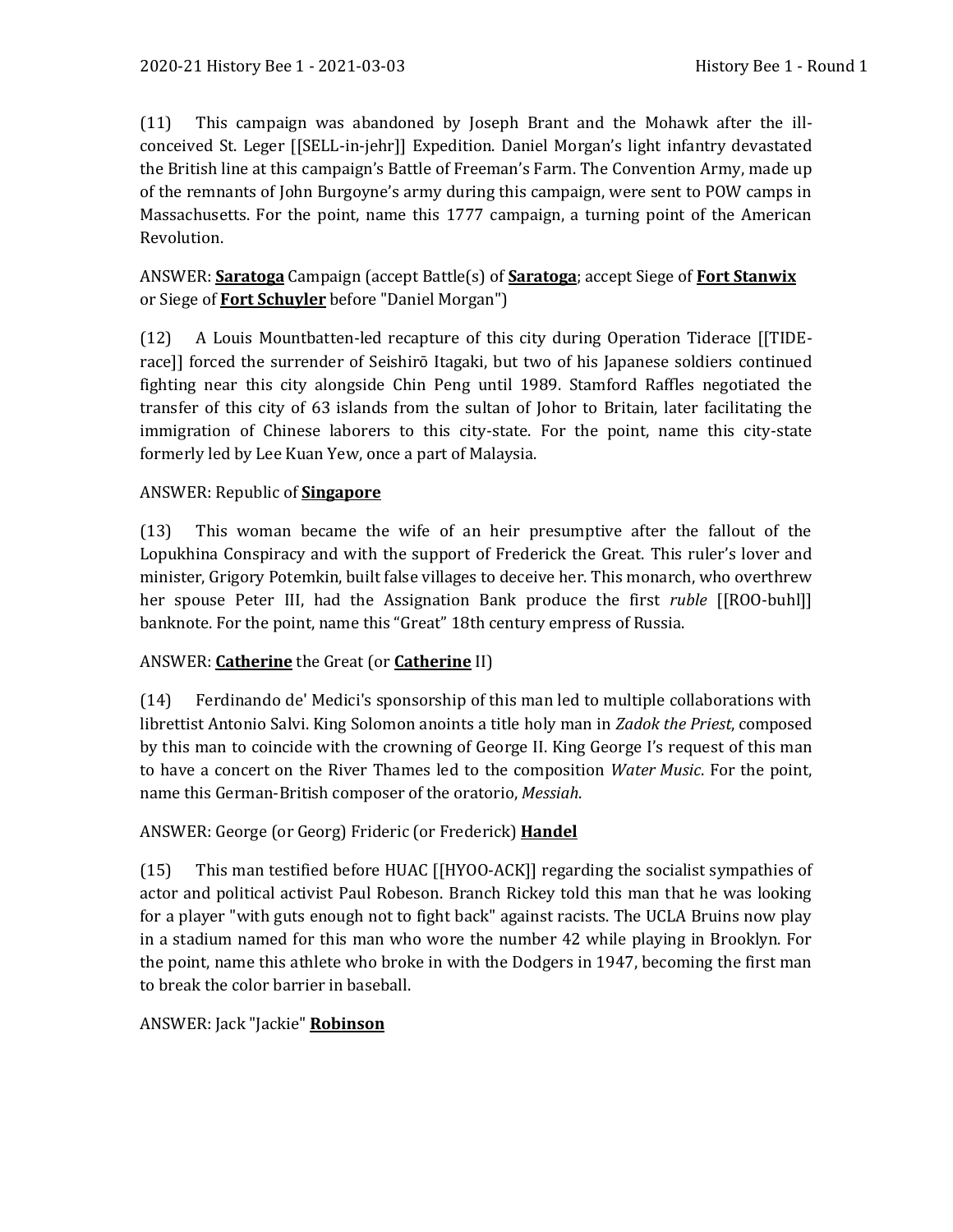(11) This campaign was abandoned by Joseph Brant and the Mohawk after the illconceived St. Leger [[SELL-in-jehr]] Expedition. Daniel Morgan's light infantry devastated the British line at this campaign's Battle of Freeman's Farm. The Convention Army, made up of the remnants of John Burgoyne's army during this campaign, were sent to POW camps in Massachusetts. For the point, name this 1777 campaign, a turning point of the American Revolution.

ANSWER: **Saratoga** Campaign (accept Battle(s) of **Saratoga**; accept Siege of **Fort Stanwix** or Siege of **Fort Schuyler** before "Daniel Morgan")

(12) A Louis Mountbatten-led recapture of this city during Operation Tiderace [[TIDErace]] forced the surrender of Seishirō Itagaki, but two of his Japanese soldiers continued fighting near this city alongside Chin Peng until 1989. Stamford Raffles negotiated the transfer of this city of 63 islands from the sultan of Johor to Britain, later facilitating the immigration of Chinese laborers to this city-state. For the point, name this city-state formerly led by Lee Kuan Yew, once a part of Malaysia.

# ANSWER: Republic of **Singapore**

(13) This woman became the wife of an heir presumptive after the fallout of the Lopukhina Conspiracy and with the support of Frederick the Great. This ruler's lover and minister, Grigory Potemkin, built false villages to deceive her. This monarch, who overthrew her spouse Peter III, had the Assignation Bank produce the first *ruble* [[ROO-buhl]] banknote. For the point, name this "Great" 18th century empress of Russia.

## ANSWER: **Catherine** the Great (or **Catherine** II)

(14) Ferdinando de' Medici's sponsorship of this man led to multiple collaborations with librettist Antonio Salvi. King Solomon anoints a title holy man in *Zadok the Priest*, composed by this man to coincide with the crowning of George II. King George I's request of this man to have a concert on the River Thames led to the composition *Water Music*. For the point, name this German-British composer of the oratorio, *Messiah*.

## ANSWER: George (or Georg) Frideric (or Frederick) **Handel**

(15) This man testified before HUAC [[HYOO-ACK]] regarding the socialist sympathies of actor and political activist Paul Robeson. Branch Rickey told this man that he was looking for a player "with guts enough not to fight back" against racists. The UCLA Bruins now play in a stadium named for this man who wore the number 42 while playing in Brooklyn. For the point, name this athlete who broke in with the Dodgers in 1947, becoming the first man to break the color barrier in baseball.

## ANSWER: Jack "Jackie" **Robinson**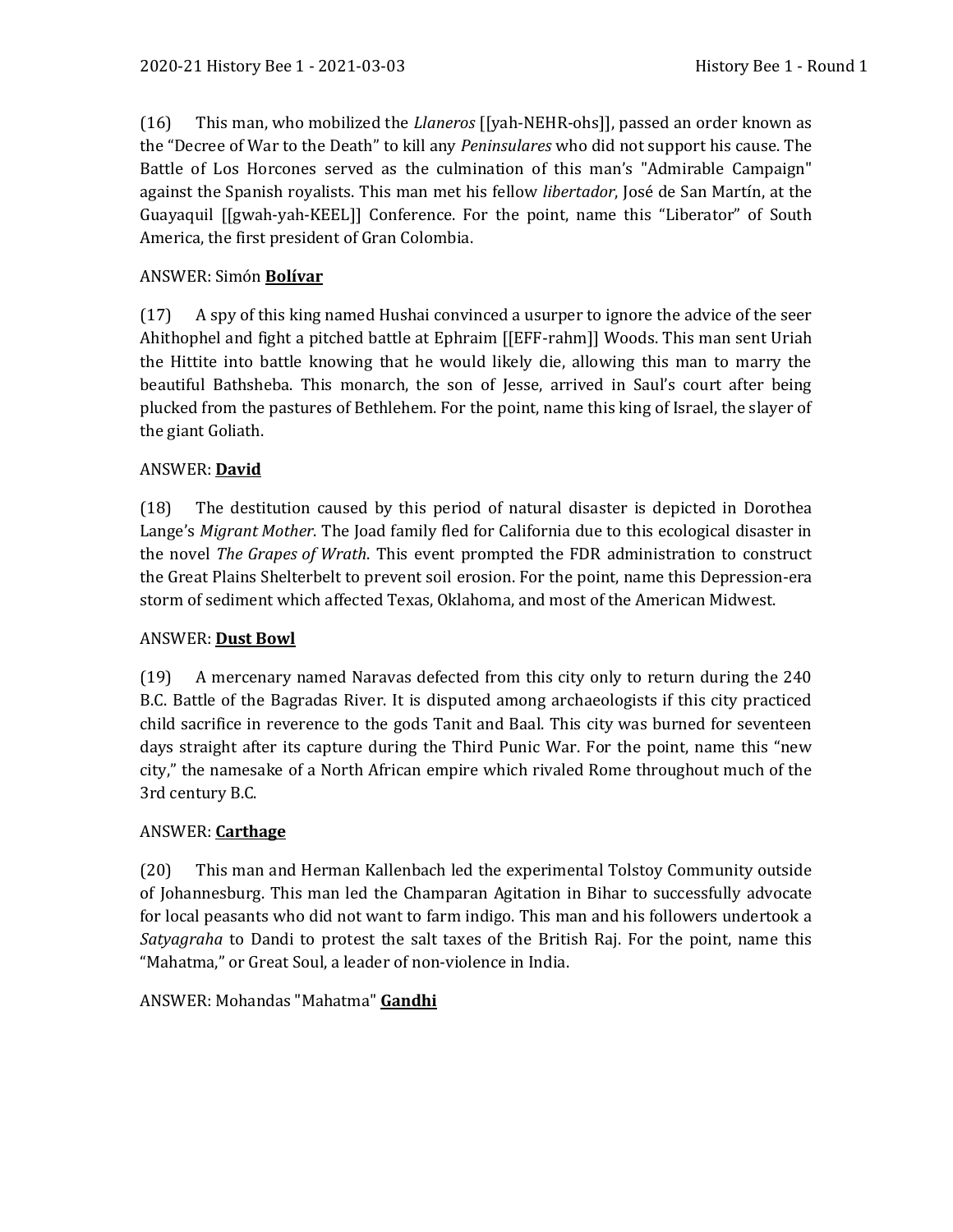(16) This man, who mobilized the *Llaneros* [[yah-NEHR-ohs]], passed an order known as the "Decree of War to the Death" to kill any *Peninsulares* who did not support his cause. The Battle of Los Horcones served as the culmination of this man's "Admirable Campaign" against the Spanish royalists. This man met his fellow *libertador*, José de San Martín, at the Guayaquil [[gwah-yah-KEEL]] Conference. For the point, name this "Liberator" of South America, the first president of Gran Colombia.

## ANSWER: Simón **Bolívar**

(17) A spy of this king named Hushai convinced a usurper to ignore the advice of the seer Ahithophel and fight a pitched battle at Ephraim [[EFF-rahm]] Woods. This man sent Uriah the Hittite into battle knowing that he would likely die, allowing this man to marry the beautiful Bathsheba. This monarch, the son of Jesse, arrived in Saul's court after being plucked from the pastures of Bethlehem. For the point, name this king of Israel, the slayer of the giant Goliath.

## ANSWER: **David**

(18) The destitution caused by this period of natural disaster is depicted in Dorothea Lange's *Migrant Mother*. The Joad family fled for California due to this ecological disaster in the novel *The Grapes of Wrath*. This event prompted the FDR administration to construct the Great Plains Shelterbelt to prevent soil erosion. For the point, name this Depression-era storm of sediment which affected Texas, Oklahoma, and most of the American Midwest.

#### ANSWER: **Dust Bowl**

(19) A mercenary named Naravas defected from this city only to return during the 240 B.C. Battle of the Bagradas River. It is disputed among archaeologists if this city practiced child sacrifice in reverence to the gods Tanit and Baal. This city was burned for seventeen days straight after its capture during the Third Punic War. For the point, name this "new city," the namesake of a North African empire which rivaled Rome throughout much of the 3rd century B.C.

#### ANSWER: **Carthage**

(20) This man and Herman Kallenbach led the experimental Tolstoy Community outside of Johannesburg. This man led the Champaran Agitation in Bihar to successfully advocate for local peasants who did not want to farm indigo. This man and his followers undertook a *Satyagraha* to Dandi to protest the salt taxes of the British Raj. For the point, name this "Mahatma," or Great Soul, a leader of non-violence in India.

#### ANSWER: Mohandas "Mahatma" **Gandhi**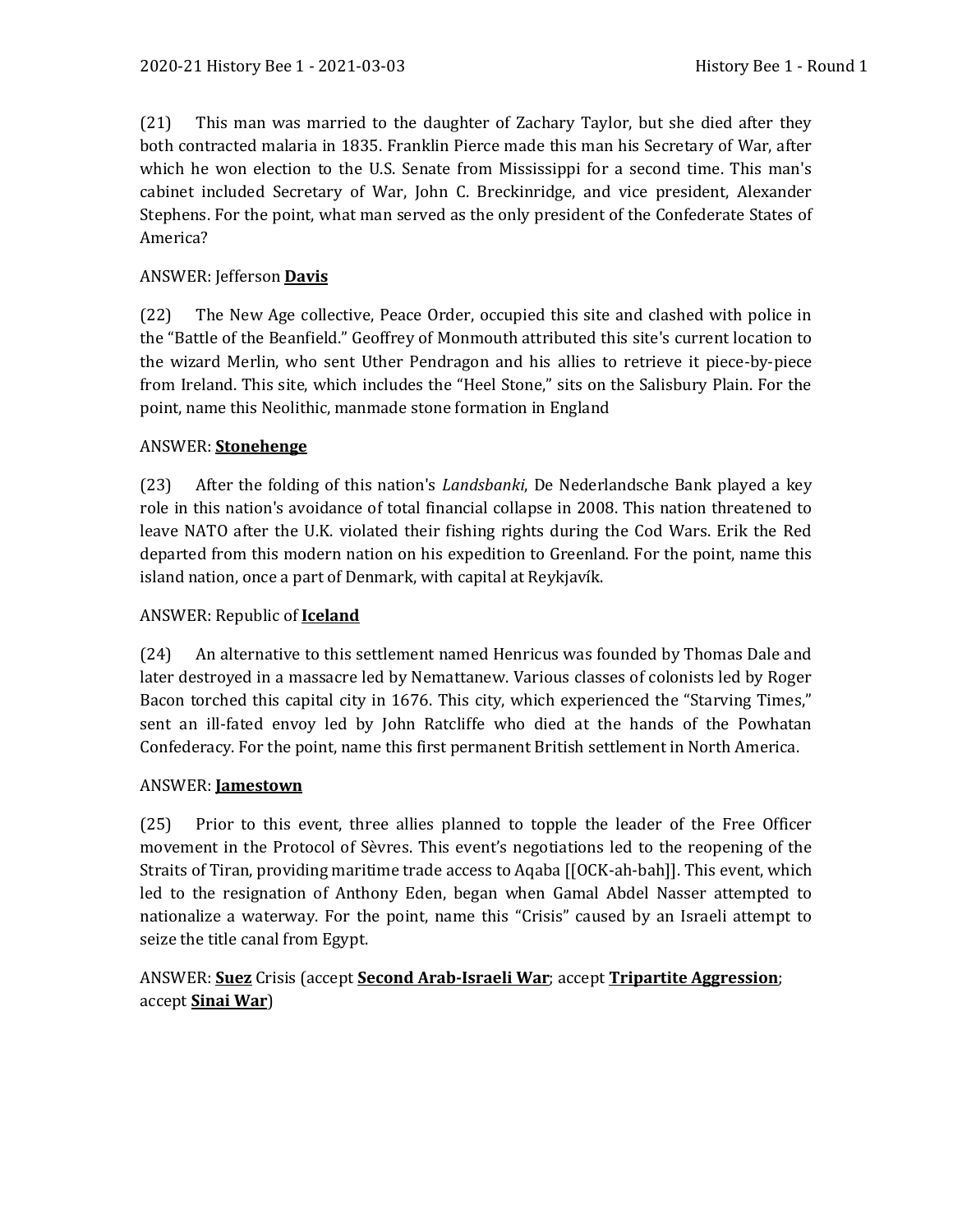(21) This man was married to the daughter of Zachary Taylor, but she died after they both contracted malaria in 1835. Franklin Pierce made this man his Secretary of War, after which he won election to the U.S. Senate from Mississippi for a second time. This man's cabinet included Secretary of War, John C. Breckinridge, and vice president, Alexander Stephens. For the point, what man served as the only president of the Confederate States of America?

## ANSWER: Jefferson **Davis**

(22) The New Age collective, Peace Order, occupied this site and clashed with police in the "Battle of the Beanfield." Geoffrey of Monmouth attributed this site's current location to the wizard Merlin, who sent Uther Pendragon and his allies to retrieve it piece-by-piece from Ireland. This site, which includes the "Heel Stone," sits on the Salisbury Plain. For the point, name this Neolithic, manmade stone formation in England

## ANSWER: **Stonehenge**

(23) After the folding of this nation's *Landsbanki*, De Nederlandsche Bank played a key role in this nation's avoidance of total financial collapse in 2008. This nation threatened to leave NATO after the U.K. violated their fishing rights during the Cod Wars. Erik the Red departed from this modern nation on his expedition to Greenland. For the point, name this island nation, once a part of Denmark, with capital at Reykjavík.

## ANSWER: Republic of **Iceland**

(24) An alternative to this settlement named Henricus was founded by Thomas Dale and later destroyed in a massacre led by Nemattanew. Various classes of colonists led by Roger Bacon torched this capital city in 1676. This city, which experienced the "Starving Times," sent an ill-fated envoy led by John Ratcliffe who died at the hands of the Powhatan Confederacy. For the point, name this first permanent British settlement in North America.

#### ANSWER: **Jamestown**

(25) Prior to this event, three allies planned to topple the leader of the Free Officer movement in the Protocol of Sèvres. This event's negotiations led to the reopening of the Straits of Tiran, providing maritime trade access to Aqaba [[OCK-ah-bah]]. This event, which led to the resignation of Anthony Eden, began when Gamal Abdel Nasser attempted to nationalize a waterway. For the point, name this "Crisis" caused by an Israeli attempt to seize the title canal from Egypt.

# ANSWER: **Suez** Crisis (accept **Second Arab-Israeli War**; accept **Tripartite Aggression**; accept **Sinai War**)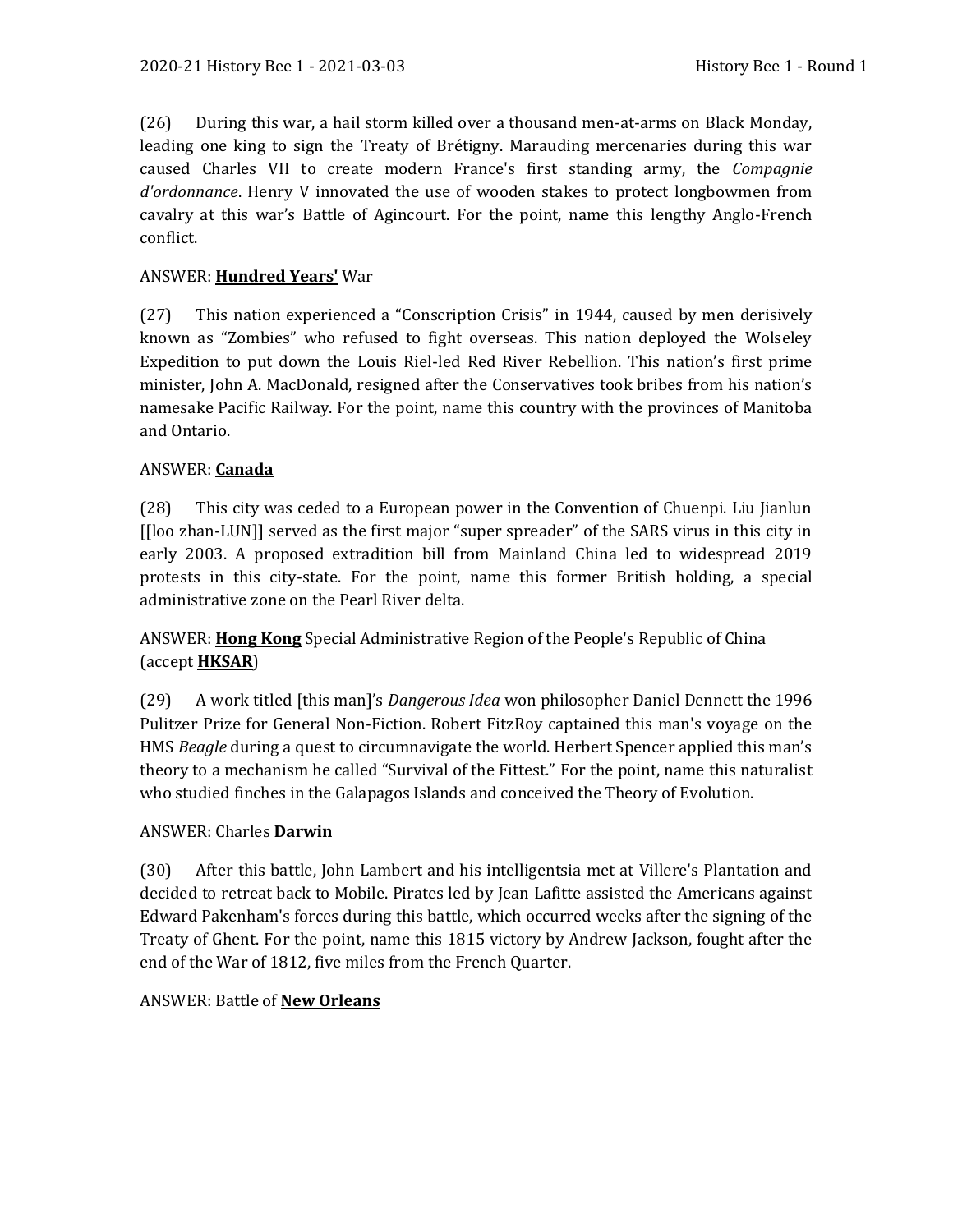(26) During this war, a hail storm killed over a thousand men-at-arms on Black Monday, leading one king to sign the Treaty of Brétigny. Marauding mercenaries during this war caused Charles VII to create modern France's first standing army, the *Compagnie d'ordonnance*. Henry V innovated the use of wooden stakes to protect longbowmen from cavalry at this war's Battle of Agincourt. For the point, name this lengthy Anglo-French conflict.

### ANSWER: **Hundred Years'** War

(27) This nation experienced a "Conscription Crisis" in 1944, caused by men derisively known as "Zombies" who refused to fight overseas. This nation deployed the Wolseley Expedition to put down the Louis Riel-led Red River Rebellion. This nation's first prime minister, John A. MacDonald, resigned after the Conservatives took bribes from his nation's namesake Pacific Railway. For the point, name this country with the provinces of Manitoba and Ontario.

#### ANSWER: **Canada**

(28) This city was ceded to a European power in the Convention of Chuenpi. Liu Jianlun [[loo zhan-LUN]] served as the first major "super spreader" of the SARS virus in this city in early 2003. A proposed extradition bill from Mainland China led to widespread 2019 protests in this city-state. For the point, name this former British holding, a special administrative zone on the Pearl River delta.

ANSWER: **Hong Kong** Special Administrative Region of the People's Republic of China (accept **HKSAR**)

(29) A work titled [this man]'s *Dangerous Idea* won philosopher Daniel Dennett the 1996 Pulitzer Prize for General Non-Fiction. Robert FitzRoy captained this man's voyage on the HMS *Beagle* during a quest to circumnavigate the world. Herbert Spencer applied this man's theory to a mechanism he called "Survival of the Fittest." For the point, name this naturalist who studied finches in the Galapagos Islands and conceived the Theory of Evolution.

#### ANSWER: Charles **Darwin**

(30) After this battle, John Lambert and his intelligentsia met at Villere's Plantation and decided to retreat back to Mobile. Pirates led by Jean Lafitte assisted the Americans against Edward Pakenham's forces during this battle, which occurred weeks after the signing of the Treaty of Ghent. For the point, name this 1815 victory by Andrew Jackson, fought after the end of the War of 1812, five miles from the French Quarter.

#### ANSWER: Battle of **New Orleans**